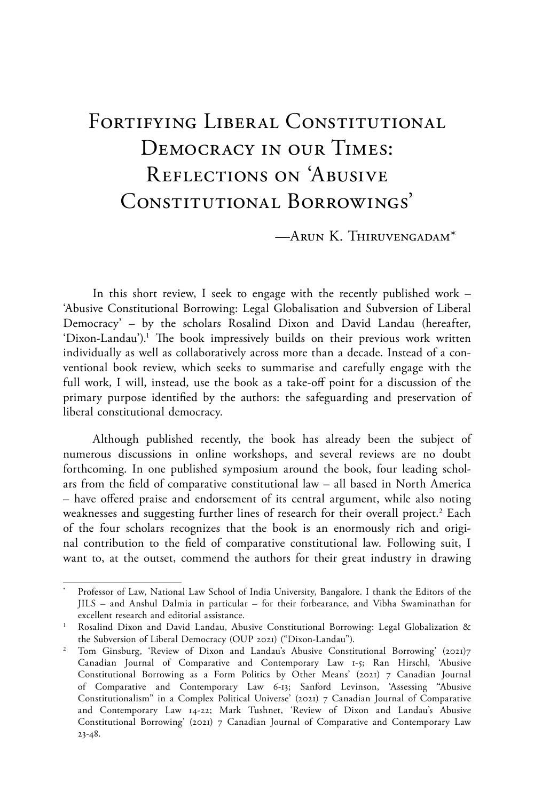# FORTIFYING LIBERAL CONSTITUTIONAL Democracy in our Times: Reflections on 'Abusive CONSTITUTIONAL BORROWINGS'

—Arun K. Thiruvengadam\*

In this short review, I seek to engage with the recently published work – 'Abusive Constitutional Borrowing: Legal Globalisation and Subversion of Liberal Democracy' – by the scholars Rosalind Dixon and David Landau (hereafter, 'Dixon-Landau').<sup>1</sup> The book impressively builds on their previous work written individually as well as collaboratively across more than a decade. Instead of a conventional book review, which seeks to summarise and carefully engage with the full work, I will, instead, use the book as a take-off point for a discussion of the primary purpose identified by the authors: the safeguarding and preservation of liberal constitutional democracy.

Although published recently, the book has already been the subject of numerous discussions in online workshops, and several reviews are no doubt forthcoming. In one published symposium around the book, four leading scholars from the field of comparative constitutional law – all based in North America – have offered praise and endorsement of its central argument, while also noting weaknesses and suggesting further lines of research for their overall project.<sup>2</sup> Each of the four scholars recognizes that the book is an enormously rich and original contribution to the field of comparative constitutional law. Following suit, I want to, at the outset, commend the authors for their great industry in drawing

Professor of Law, National Law School of India University, Bangalore. I thank the Editors of the JILS – and Anshul Dalmia in particular – for their forbearance, and Vibha Swaminathan for excellent research and editorial assistance.

<sup>&</sup>lt;sup>1</sup> Rosalind Dixon and David Landau, Abusive Constitutional Borrowing: Legal Globalization & the Subversion of Liberal Democracy (OUP 2021) ("Dixon-Landau").

<sup>2</sup> Tom Ginsburg, 'Review of Dixon and Landau's Abusive Constitutional Borrowing' (2021)7 Canadian Journal of Comparative and Contemporary Law 1-5; Ran Hirschl, 'Abusive Constitutional Borrowing as a Form Politics by Other Means' (2021) 7 Canadian Journal of Comparative and Contemporary Law 6-13; Sanford Levinson, 'Assessing "Abusive Constitutionalism" in a Complex Political Universe' (2021) 7 Canadian Journal of Comparative and Contemporary Law 14-22; Mark Tushnet, 'Review of Dixon and Landau's Abusive Constitutional Borrowing' (2021) 7 Canadian Journal of Comparative and Contemporary Law 23-48.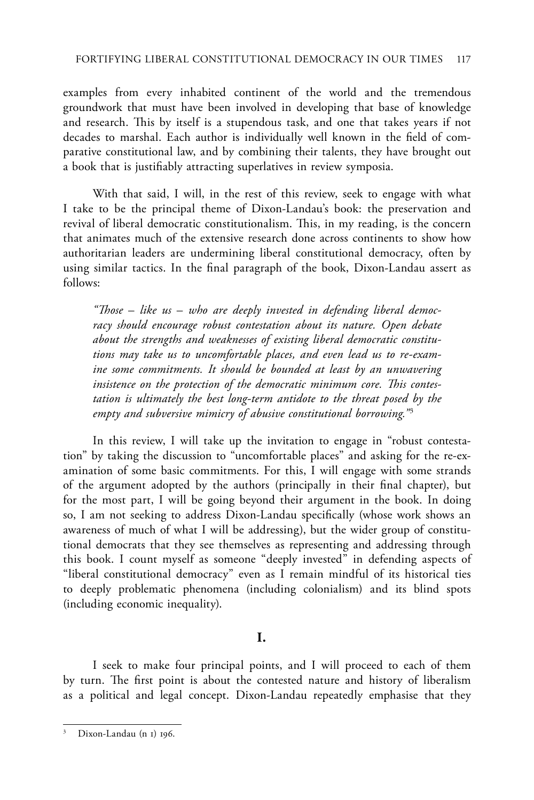examples from every inhabited continent of the world and the tremendous groundwork that must have been involved in developing that base of knowledge and research. This by itself is a stupendous task, and one that takes years if not decades to marshal. Each author is individually well known in the field of comparative constitutional law, and by combining their talents, they have brought out a book that is justifiably attracting superlatives in review symposia.

With that said, I will, in the rest of this review, seek to engage with what I take to be the principal theme of Dixon-Landau's book: the preservation and revival of liberal democratic constitutionalism. This, in my reading, is the concern that animates much of the extensive research done across continents to show how authoritarian leaders are undermining liberal constitutional democracy, often by using similar tactics. In the final paragraph of the book, Dixon-Landau assert as follows:

*"Those* – *like us* – *who are deeply invested in defending liberal democracy should encourage robust contestation about its nature. Open debate about the strengths and weaknesses of existing liberal democratic constitutions may take us to uncomfortable places, and even lead us to re-examine some commitments. It should be bounded at least by an unwavering insistence on the protection of the democratic minimum core. This contestation is ultimately the best long-term antidote to the threat posed by the empty and subversive mimicry of abusive constitutional borrowing."*<sup>3</sup>

In this review, I will take up the invitation to engage in "robust contestation" by taking the discussion to "uncomfortable places" and asking for the re-examination of some basic commitments. For this, I will engage with some strands of the argument adopted by the authors (principally in their final chapter), but for the most part, I will be going beyond their argument in the book. In doing so, I am not seeking to address Dixon-Landau specifically (whose work shows an awareness of much of what I will be addressing), but the wider group of constitutional democrats that they see themselves as representing and addressing through this book. I count myself as someone "deeply invested" in defending aspects of "liberal constitutional democracy" even as I remain mindful of its historical ties to deeply problematic phenomena (including colonialism) and its blind spots (including economic inequality).

# **I.**

I seek to make four principal points, and I will proceed to each of them by turn. The first point is about the contested nature and history of liberalism as a political and legal concept. Dixon-Landau repeatedly emphasise that they

Dixon-Landau (n 1) 196.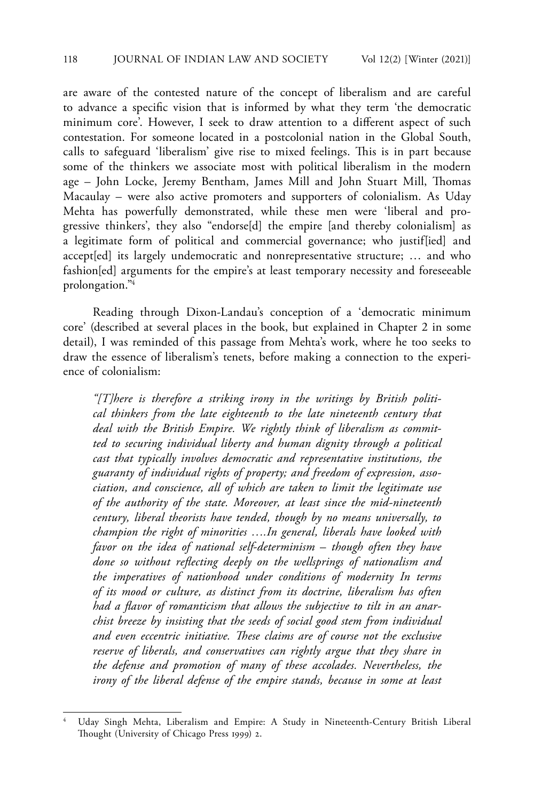are aware of the contested nature of the concept of liberalism and are careful to advance a specific vision that is informed by what they term 'the democratic minimum core'. However, I seek to draw attention to a different aspect of such contestation. For someone located in a postcolonial nation in the Global South, calls to safeguard 'liberalism' give rise to mixed feelings. This is in part because some of the thinkers we associate most with political liberalism in the modern age – John Locke, Jeremy Bentham, James Mill and John Stuart Mill, Thomas Macaulay – were also active promoters and supporters of colonialism. As Uday Mehta has powerfully demonstrated, while these men were 'liberal and progressive thinkers', they also "endorse[d] the empire [and thereby colonialism] as a legitimate form of political and commercial governance; who justif[ied] and accept[ed] its largely undemocratic and nonrepresentative structure; … and who fashion[ed] arguments for the empire's at least temporary necessity and foreseeable prolongation."4

Reading through Dixon-Landau's conception of a 'democratic minimum core' (described at several places in the book, but explained in Chapter 2 in some detail), I was reminded of this passage from Mehta's work, where he too seeks to draw the essence of liberalism's tenets, before making a connection to the experience of colonialism:

*"[T]here is therefore a striking irony in the writings by British political thinkers from the late eighteenth to the late nineteenth century that deal with the British Empire. We rightly think of liberalism as committed to securing individual liberty and human dignity through a political cast that typically involves democratic and representative institutions, the guaranty of individual rights of property; and freedom of expression, association, and conscience, all of which are taken to limit the legitimate use of the authority of the state. Moreover, at least since the mid-nineteenth century, liberal theorists have tended, though by no means universally, to champion the right of minorities ….In general, liberals have looked with favor on the idea of national self-determinism* – *though often they have done so without reflecting deeply on the wellsprings of nationalism and the imperatives of nationhood under conditions of modernity In terms of its mood or culture, as distinct from its doctrine, liberalism has often had a flavor of romanticism that allows the subjective to tilt in an anarchist breeze by insisting that the seeds of social good stem from individual and even eccentric initiative. These claims are of course not the exclusive reserve of liberals, and conservatives can rightly argue that they share in the defense and promotion of many of these accolades. Nevertheless, the irony of the liberal defense of the empire stands, because in some at least* 

<sup>4</sup> Uday Singh Mehta, Liberalism and Empire: A Study in Nineteenth-Century British Liberal Thought (University of Chicago Press 1999) 2.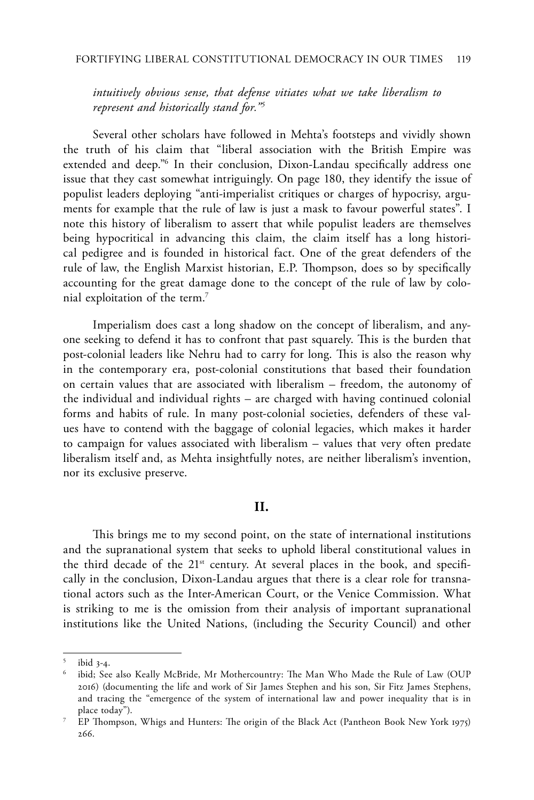*intuitively obvious sense, that defense vitiates what we take liberalism to represent and historically stand for."5*

Several other scholars have followed in Mehta's footsteps and vividly shown the truth of his claim that "liberal association with the British Empire was extended and deep."6 In their conclusion, Dixon-Landau specifically address one issue that they cast somewhat intriguingly. On page 180, they identify the issue of populist leaders deploying "anti-imperialist critiques or charges of hypocrisy, arguments for example that the rule of law is just a mask to favour powerful states". I note this history of liberalism to assert that while populist leaders are themselves being hypocritical in advancing this claim, the claim itself has a long historical pedigree and is founded in historical fact. One of the great defenders of the rule of law, the English Marxist historian, E.P. Thompson, does so by specifically accounting for the great damage done to the concept of the rule of law by colonial exploitation of the term.7

Imperialism does cast a long shadow on the concept of liberalism, and anyone seeking to defend it has to confront that past squarely. This is the burden that post-colonial leaders like Nehru had to carry for long. This is also the reason why in the contemporary era, post-colonial constitutions that based their foundation on certain values that are associated with liberalism – freedom, the autonomy of the individual and individual rights – are charged with having continued colonial forms and habits of rule. In many post-colonial societies, defenders of these values have to contend with the baggage of colonial legacies, which makes it harder to campaign for values associated with liberalism – values that very often predate liberalism itself and, as Mehta insightfully notes, are neither liberalism's invention, nor its exclusive preserve.

### **II.**

This brings me to my second point, on the state of international institutions and the supranational system that seeks to uphold liberal constitutional values in the third decade of the  $21^{st}$  century. At several places in the book, and specifically in the conclusion, Dixon-Landau argues that there is a clear role for transnational actors such as the Inter-American Court, or the Venice Commission. What is striking to me is the omission from their analysis of important supranational institutions like the United Nations, (including the Security Council) and other

ibid  $3-4$ .

ibid; See also Keally McBride, Mr Mothercountry: The Man Who Made the Rule of Law (OUP 2016) (documenting the life and work of Sir James Stephen and his son, Sir Fitz James Stephens, and tracing the "emergence of the system of international law and power inequality that is in place today").

<sup>7</sup> EP Thompson, Whigs and Hunters: The origin of the Black Act (Pantheon Book New York 1975) 266.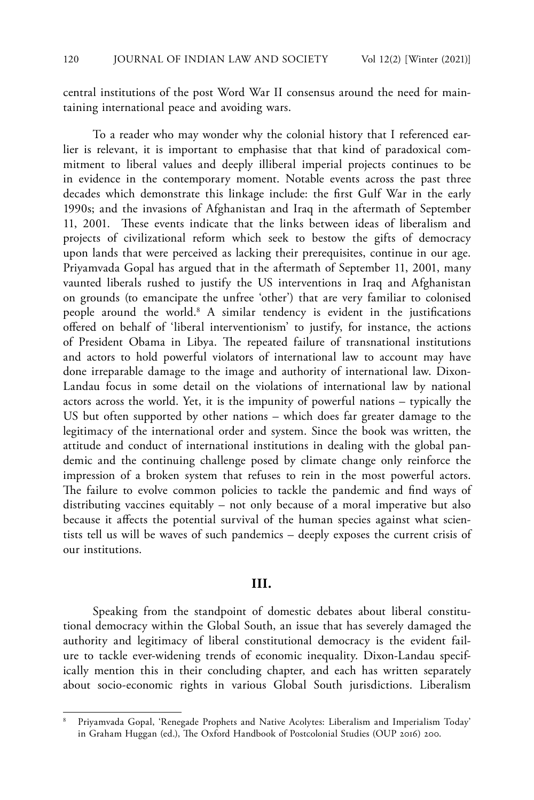central institutions of the post Word War II consensus around the need for maintaining international peace and avoiding wars.

To a reader who may wonder why the colonial history that I referenced earlier is relevant, it is important to emphasise that that kind of paradoxical commitment to liberal values and deeply illiberal imperial projects continues to be in evidence in the contemporary moment. Notable events across the past three decades which demonstrate this linkage include: the first Gulf War in the early 1990s; and the invasions of Afghanistan and Iraq in the aftermath of September 11, 2001. These events indicate that the links between ideas of liberalism and projects of civilizational reform which seek to bestow the gifts of democracy upon lands that were perceived as lacking their prerequisites, continue in our age. Priyamvada Gopal has argued that in the aftermath of September 11, 2001, many vaunted liberals rushed to justify the US interventions in Iraq and Afghanistan on grounds (to emancipate the unfree 'other') that are very familiar to colonised people around the world.<sup>8</sup> A similar tendency is evident in the justifications offered on behalf of 'liberal interventionism' to justify, for instance, the actions of President Obama in Libya. The repeated failure of transnational institutions and actors to hold powerful violators of international law to account may have done irreparable damage to the image and authority of international law. Dixon-Landau focus in some detail on the violations of international law by national actors across the world. Yet, it is the impunity of powerful nations – typically the US but often supported by other nations – which does far greater damage to the legitimacy of the international order and system. Since the book was written, the attitude and conduct of international institutions in dealing with the global pandemic and the continuing challenge posed by climate change only reinforce the impression of a broken system that refuses to rein in the most powerful actors. The failure to evolve common policies to tackle the pandemic and find ways of distributing vaccines equitably – not only because of a moral imperative but also because it affects the potential survival of the human species against what scientists tell us will be waves of such pandemics – deeply exposes the current crisis of our institutions.

# **III.**

Speaking from the standpoint of domestic debates about liberal constitutional democracy within the Global South, an issue that has severely damaged the authority and legitimacy of liberal constitutional democracy is the evident failure to tackle ever-widening trends of economic inequality. Dixon-Landau specifically mention this in their concluding chapter, and each has written separately about socio-economic rights in various Global South jurisdictions. Liberalism

<sup>8</sup> Priyamvada Gopal, 'Renegade Prophets and Native Acolytes: Liberalism and Imperialism Today' in Graham Huggan (ed.), The Oxford Handbook of Postcolonial Studies (OUP 2016) 200.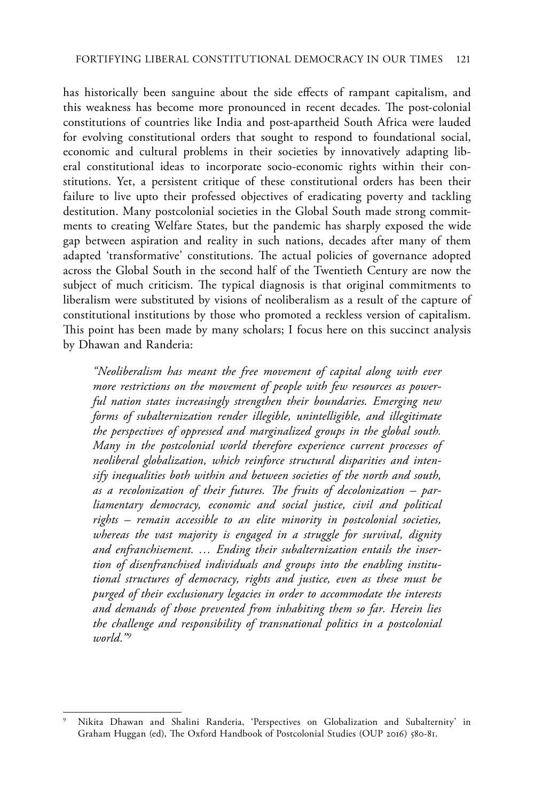has historically been sanguine about the side effects of rampant capitalism, and this weakness has become more pronounced in recent decades. The post-colonial constitutions of countries like India and post-apartheid South Africa were lauded for evolving constitutional orders that sought to respond to foundational social, economic and cultural problems in their societies by innovatively adapting liberal constitutional ideas to incorporate socio-economic rights within their constitutions. Yet, a persistent critique of these constitutional orders has been their failure to live upto their professed objectives of eradicating poverty and tackling destitution. Many postcolonial societies in the Global South made strong commitments to creating Welfare States, but the pandemic has sharply exposed the wide gap between aspiration and reality in such nations, decades after many of them adapted 'transformative' constitutions. The actual policies of governance adopted across the Global South in the second half of the Twentieth Century are now the subject of much criticism. The typical diagnosis is that original commitments to liberalism were substituted by visions of neoliberalism as a result of the capture of constitutional institutions by those who promoted a reckless version of capitalism. This point has been made by many scholars; I focus here on this succinct analysis by Dhawan and Randeria:

*"Neoliberalism has meant the free movement of capital along with ever more restrictions on the movement of people with few resources as powerful nation states increasingly strengthen their boundaries. Emerging new forms of subalternization render illegible, unintelligible, and illegitimate the perspectives of oppressed and marginalized groups in the global south. Many in the postcolonial world therefore experience current processes of neoliberal globalization, which reinforce structural disparities and intensify inequalities both within and between societies of the north and south, as a recolonization of their futures. The fruits of decolonization – parliamentary democracy, economic and social justice, civil and political rights – remain accessible to an elite minority in postcolonial societies, whereas the vast majority is engaged in a struggle for survival, dignity and enfranchisement. … Ending their subalternization entails the insertion of disenfranchised individuals and groups into the enabling institutional structures of democracy, rights and justice, even as these must be purged of their exclusionary legacies in order to accommodate the interests and demands of those prevented from inhabiting them so far. Herein lies the challenge and responsibility of transnational politics in a postcolonial world."9*

<sup>9</sup> Nikita Dhawan and Shalini Randeria, 'Perspectives on Globalization and Subalternity' in Graham Huggan (ed), The Oxford Handbook of Postcolonial Studies (OUP 2016) 580-81.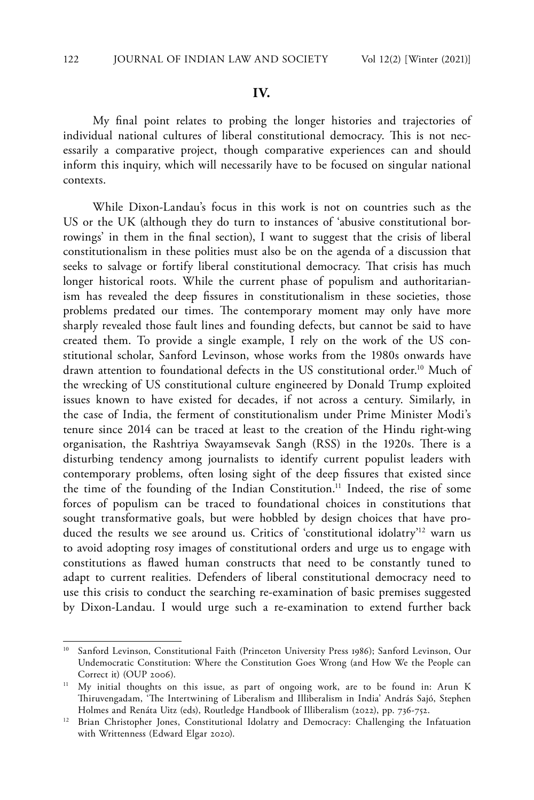#### **IV.**

My final point relates to probing the longer histories and trajectories of individual national cultures of liberal constitutional democracy. This is not necessarily a comparative project, though comparative experiences can and should inform this inquiry, which will necessarily have to be focused on singular national contexts.

While Dixon-Landau's focus in this work is not on countries such as the US or the UK (although they do turn to instances of 'abusive constitutional borrowings' in them in the final section), I want to suggest that the crisis of liberal constitutionalism in these polities must also be on the agenda of a discussion that seeks to salvage or fortify liberal constitutional democracy. That crisis has much longer historical roots. While the current phase of populism and authoritarianism has revealed the deep fissures in constitutionalism in these societies, those problems predated our times. The contemporary moment may only have more sharply revealed those fault lines and founding defects, but cannot be said to have created them. To provide a single example, I rely on the work of the US constitutional scholar, Sanford Levinson, whose works from the 1980s onwards have drawn attention to foundational defects in the US constitutional order.<sup>10</sup> Much of the wrecking of US constitutional culture engineered by Donald Trump exploited issues known to have existed for decades, if not across a century. Similarly, in the case of India, the ferment of constitutionalism under Prime Minister Modi's tenure since 2014 can be traced at least to the creation of the Hindu right-wing organisation, the Rashtriya Swayamsevak Sangh (RSS) in the 1920s. There is a disturbing tendency among journalists to identify current populist leaders with contemporary problems, often losing sight of the deep fissures that existed since the time of the founding of the Indian Constitution.<sup>11</sup> Indeed, the rise of some forces of populism can be traced to foundational choices in constitutions that sought transformative goals, but were hobbled by design choices that have produced the results we see around us. Critics of 'constitutional idolatry'<sup>12</sup> warn us to avoid adopting rosy images of constitutional orders and urge us to engage with constitutions as flawed human constructs that need to be constantly tuned to adapt to current realities. Defenders of liberal constitutional democracy need to use this crisis to conduct the searching re-examination of basic premises suggested by Dixon-Landau. I would urge such a re-examination to extend further back

<sup>&</sup>lt;sup>10</sup> Sanford Levinson, Constitutional Faith (Princeton University Press 1986); Sanford Levinson, Our Undemocratic Constitution: Where the Constitution Goes Wrong (and How We the People can Correct it) (OUP 2006).

<sup>&</sup>lt;sup>11</sup> My initial thoughts on this issue, as part of ongoing work, are to be found in: Arun K Thiruvengadam, 'The Intertwining of Liberalism and Illiberalism in India' András Sajó, Stephen Holmes and Renáta Uitz (eds), Routledge Handbook of Illiberalism (2022), pp. 736-752.

<sup>&</sup>lt;sup>12</sup> Brian Christopher Jones, Constitutional Idolatry and Democracy: Challenging the Infatuation with Writtenness (Edward Elgar 2020).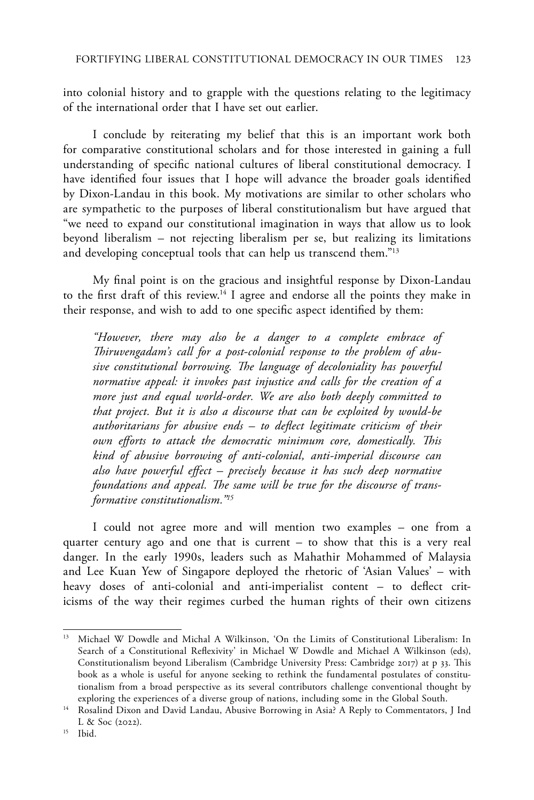into colonial history and to grapple with the questions relating to the legitimacy of the international order that I have set out earlier.

I conclude by reiterating my belief that this is an important work both for comparative constitutional scholars and for those interested in gaining a full understanding of specific national cultures of liberal constitutional democracy. I have identified four issues that I hope will advance the broader goals identified by Dixon-Landau in this book. My motivations are similar to other scholars who are sympathetic to the purposes of liberal constitutionalism but have argued that "we need to expand our constitutional imagination in ways that allow us to look beyond liberalism – not rejecting liberalism per se, but realizing its limitations and developing conceptual tools that can help us transcend them."<sup>13</sup>

My final point is on the gracious and insightful response by Dixon-Landau to the first draft of this review.14 I agree and endorse all the points they make in their response, and wish to add to one specific aspect identified by them:

*"However, there may also be a danger to a complete embrace of Thiruvengadam's call for a post-colonial response to the problem of abusive constitutional borrowing. The language of decoloniality has powerful normative appeal: it invokes past injustice and calls for the creation of a more just and equal world-order. We are also both deeply committed to that project. But it is also a discourse that can be exploited by would-be authoritarians for abusive ends – to deflect legitimate criticism of their own efforts to attack the democratic minimum core, domestically. This kind of abusive borrowing of anti-colonial, anti-imperial discourse can also have powerful effect – precisely because it has such deep normative foundations and appeal. The same will be true for the discourse of transformative constitutionalism."15*

I could not agree more and will mention two examples – one from a quarter century ago and one that is current – to show that this is a very real danger. In the early 1990s, leaders such as Mahathir Mohammed of Malaysia and Lee Kuan Yew of Singapore deployed the rhetoric of 'Asian Values' – with heavy doses of anti-colonial and anti-imperialist content – to deflect criticisms of the way their regimes curbed the human rights of their own citizens

<sup>&</sup>lt;sup>13</sup> Michael W Dowdle and Michal A Wilkinson, 'On the Limits of Constitutional Liberalism: In Search of a Constitutional Reflexivity' in Michael W Dowdle and Michael A Wilkinson (eds), Constitutionalism beyond Liberalism (Cambridge University Press: Cambridge 2017) at p 33. This book as a whole is useful for anyone seeking to rethink the fundamental postulates of constitutionalism from a broad perspective as its several contributors challenge conventional thought by exploring the experiences of a diverse group of nations, including some in the Global South.

<sup>&</sup>lt;sup>14</sup> Rosalind Dixon and David Landau, Abusive Borrowing in Asia? A Reply to Commentators, J Ind L & Soc (2022).

<sup>15</sup> Ibid.